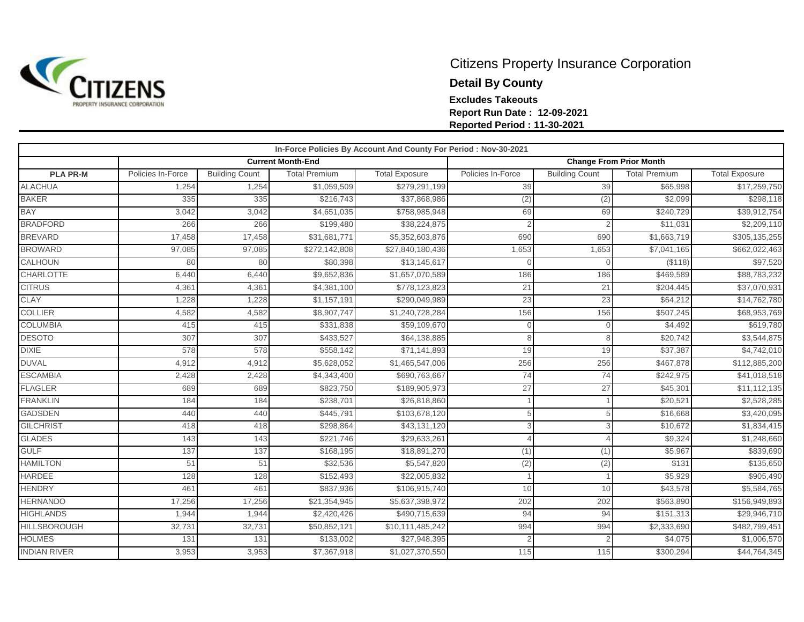

## Citizens Property Insurance Corporation **Detail By County Excludes Takeouts Report Run Date : 12-09-2021 Reported Period : 11-30-2021**

|                     | In-Force Policies By Account And County For Period : Nov-30-2021 |                       |                          |                       |                                |                       |                         |                       |  |  |  |  |
|---------------------|------------------------------------------------------------------|-----------------------|--------------------------|-----------------------|--------------------------------|-----------------------|-------------------------|-----------------------|--|--|--|--|
|                     |                                                                  |                       | <b>Current Month-End</b> |                       | <b>Change From Prior Month</b> |                       |                         |                       |  |  |  |  |
| <b>PLA PR-M</b>     | Policies In-Force                                                | <b>Building Count</b> | <b>Total Premium</b>     | <b>Total Exposure</b> | Policies In-Force              | <b>Building Count</b> | <b>Total Premium</b>    | <b>Total Exposure</b> |  |  |  |  |
| <b>ALACHUA</b>      | 1,254                                                            | 1,254                 | \$1,059,509              | \$279,291,199         | 39                             | 39                    | \$65,998                | \$17,259,750          |  |  |  |  |
| <b>BAKER</b>        | 335                                                              | 335                   | \$216,743                | \$37,868,986          | (2)                            | (2)                   | \$2,099                 | \$298,118             |  |  |  |  |
| <b>BAY</b>          | 3,042                                                            | 3,042                 | \$4,651,035              | \$758,985,948         | 69                             | 69                    | \$240,729               | \$39,912,754          |  |  |  |  |
| <b>BRADFORD</b>     | 266                                                              | 266                   | \$199,480                | \$38,224,875          |                                |                       | \$11,031                | \$2,209,110           |  |  |  |  |
| <b>BREVARD</b>      | 17,458                                                           | 17,458                | \$31,681,771             | \$5,352,603,876       | 690                            | 690                   | $\overline{$1,663,719}$ | \$305,135,255         |  |  |  |  |
| <b>BROWARD</b>      | 97,085                                                           | 97,085                | \$272,142,808            | \$27,840,180,436      | 1,653                          | 1,653                 | \$7,041,165             | \$662,022,463         |  |  |  |  |
| CALHOUN             | 80                                                               | 80                    | \$80,398                 | \$13,145,617          |                                |                       | ( \$118)                | \$97,520              |  |  |  |  |
| <b>CHARLOTTE</b>    | 6,440                                                            | 6,440                 | \$9,652,836              | \$1,657,070,589       | 186                            | 186                   | \$469,589               | \$88,783,232          |  |  |  |  |
| <b>CITRUS</b>       | 4,361                                                            | 4,361                 | \$4,381,100              | \$778,123,823         | 21                             | 21                    | \$204,445               | \$37,070,931          |  |  |  |  |
| <b>CLAY</b>         | 1,228                                                            | 1,228                 | \$1,157,191              | \$290,049,989         | 23                             | 23                    | \$64,212                | \$14,762,780          |  |  |  |  |
| <b>COLLIER</b>      | 4,582                                                            | 4,582                 | \$8,907,747              | \$1,240,728,284       | 156                            | 156                   | \$507,245               | \$68,953,769          |  |  |  |  |
| <b>COLUMBIA</b>     | 415                                                              | 415                   | \$331,838                | \$59,109,670          | $\Omega$                       | $\Omega$              | \$4,492                 | \$619,780             |  |  |  |  |
| <b>DESOTO</b>       | 307                                                              | 307                   | \$433,527                | \$64,138,885          | 8                              | 8                     | \$20,742                | \$3,544,875           |  |  |  |  |
| <b>DIXIE</b>        | 578                                                              | 578                   | \$558,142                | \$71,141,893          | 19                             | 19                    | \$37,387                | \$4,742,010           |  |  |  |  |
| <b>DUVAL</b>        | 4,912                                                            | 4,912                 | \$5,628,052              | \$1,465,547,006       | 256                            | 256                   | \$467,878               | \$112,885,200         |  |  |  |  |
| <b>ESCAMBIA</b>     | 2,428                                                            | 2,428                 | \$4,343,400              | \$690,763,667         | 74                             | 74                    | \$242,975               | \$41,018,518          |  |  |  |  |
| <b>FLAGLER</b>      | 689                                                              | 689                   | \$823,750                | \$189,905,973         | 27                             | 27                    | \$45,301                | \$11,112,135          |  |  |  |  |
| <b>FRANKLIN</b>     | 184                                                              | 184                   | \$238,701                | \$26,818,860          |                                |                       | \$20,521                | \$2,528,285           |  |  |  |  |
| <b>GADSDEN</b>      | 440                                                              | 440                   | \$445,791                | \$103,678,120         | 5                              |                       | \$16,668                | \$3,420,095           |  |  |  |  |
| <b>GILCHRIST</b>    | 418                                                              | 418                   | \$298,864                | \$43,131,120          | 3                              |                       | \$10,672                | \$1,834,415           |  |  |  |  |
| <b>GLADES</b>       | 143                                                              | 143                   | \$221,746                | \$29,633,261          |                                | $\Lambda$             | \$9,324                 | \$1,248,660           |  |  |  |  |
| <b>GULF</b>         | 137                                                              | 137                   | \$168,195                | \$18,891,270          | (1)                            | (1)                   | \$5,967                 | \$839,690             |  |  |  |  |
| <b>HAMILTON</b>     | 51                                                               | 51                    | \$32,536                 | \$5,547,820           | (2)                            | (2)                   | \$131                   | \$135,650             |  |  |  |  |
| <b>HARDEE</b>       | 128                                                              | 128                   | \$152,493                | \$22,005,832          |                                |                       | \$5,929                 | \$905,490             |  |  |  |  |
| <b>HENDRY</b>       | 461                                                              | 461                   | \$837,936                | \$106,915,740         | 10                             | 10                    | \$43,578                | \$5,584,765           |  |  |  |  |
| <b>HERNANDO</b>     | 17,256                                                           | 17,256                | \$21,354,945             | \$5,637,398,972       | 202                            | 202                   | \$563,890               | \$156,949,893         |  |  |  |  |
| <b>HIGHLANDS</b>    | 1,944                                                            | 1,944                 | \$2,420,426              | \$490,715,639         | 94                             | 94                    | \$151,313               | \$29,946,710          |  |  |  |  |
| <b>HILLSBOROUGH</b> | 32,731                                                           | 32,731                | \$50,852,121             | \$10,111,485,242      | 994                            | 994                   | \$2,333,690             | \$482,799,451         |  |  |  |  |
| <b>HOLMES</b>       | 131                                                              | 131                   | \$133,002                | \$27,948,395          |                                |                       | \$4,075                 | \$1,006,570           |  |  |  |  |
| <b>INDIAN RIVER</b> | 3,953                                                            | 3,953                 | \$7,367,918              | \$1,027,370,550       | 115                            | 115                   | \$300,294               | \$44,764,345          |  |  |  |  |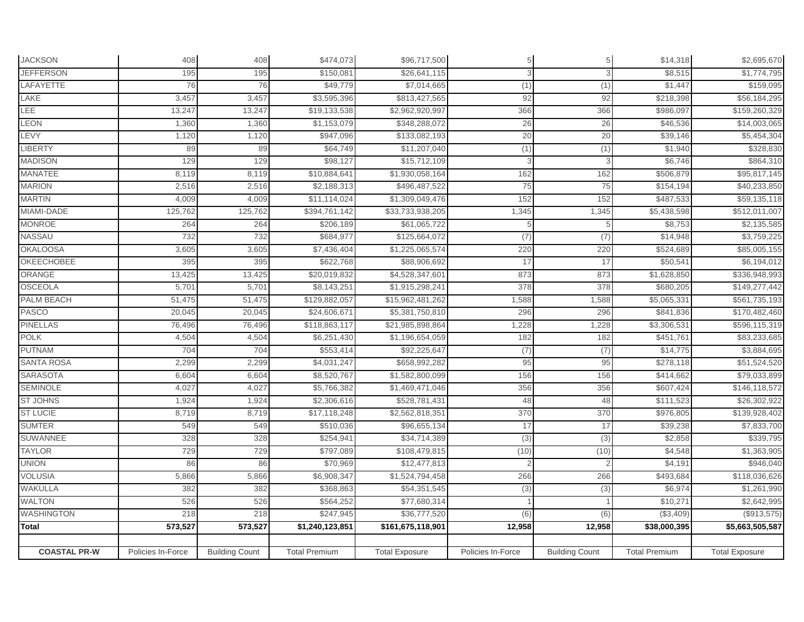| <b>JACKSON</b>      | 408               | 408                   | \$474,073            | \$96,717,500          |                   | 5                     | \$14,318             | \$2,695,670           |
|---------------------|-------------------|-----------------------|----------------------|-----------------------|-------------------|-----------------------|----------------------|-----------------------|
| <b>JEFFERSON</b>    | 195               | 195                   | \$150,081            | \$26,641,115          |                   | 3                     | \$8,515              | \$1,774,795           |
| LAFAYETTE           | 76                | 76                    | \$49,779             | \$7,014,665           | (1)               | (1)                   | \$1,447              | \$159,095             |
| LAKE                | 3,457             | 3,457                 | \$3,595,396          | \$813,427,565         | 92                | 92                    | \$218,398            | \$56,184,295          |
| LEE                 | 13,247            | 13,247                | \$19,133,538         | \$2,962,920,997       | 366               | 366                   | \$986,097            | \$159,260,329         |
| LEON                | 1,360             | 1,360                 | \$1,153,079          | \$348,288,072         | 26                | 26                    | \$46,536             | \$14,003,065          |
| LEVY                | 1,120             | 1,120                 | \$947,096            | \$133,082,193         | 20                | 20                    | \$39,146             | \$5,454,304           |
| <b>LIBERTY</b>      | 89                | 89                    | \$64,749             | \$11,207,040          | (1)               | (1)                   | \$1,940              | \$328,830             |
| <b>MADISON</b>      | 129               | 129                   | \$98,127             | \$15,712,109          |                   | 3                     | \$6,746              | \$864,310             |
| <b>MANATEE</b>      | 8,119             | 8,119                 | \$10,884,641         | \$1,930,058,164       | 162               | 162                   | \$506,879            | \$95,817,145          |
| <b>MARION</b>       | 2,516             | 2,516                 | \$2,188,313          | \$496,487,522         | 75                | 75                    | \$154,194            | \$40,233,850          |
| <b>MARTIN</b>       | 4,009             | 4,009                 | \$11,114,024         | \$1,309,049,476       | 152               | 152                   | \$487,533            | \$59,135,118          |
| MIAMI-DADE          | 125,762           | 125,762               | \$394,761,142        | \$33,733,938,205      | 1,345             | 1,345                 | \$5,438,598          | \$512,011,007         |
| <b>MONROE</b>       | 264               | 264                   | \$206,189            | \$61,065,722          |                   |                       | \$8,753              | \$2,135,585           |
| NASSAU              | 732               | 732                   | \$684,977            | \$125,664,072         | (7)               | (7)                   | \$14,948             | \$3,759,225           |
| <b>OKALOOSA</b>     | 3,605             | 3,605                 | \$7,436,404          | \$1,225,065,574       | 220               | 220                   | \$524,689            | \$85,005,155          |
| <b>OKEECHOBEE</b>   | 395               | 395                   | \$622,768            | \$88,906,692          | 17                | 17                    | \$50,541             | \$6,194,012           |
| ORANGE              | 13,425            | 13,425                | \$20,019,832         | \$4,528,347,601       | 873               | 873                   | \$1,628,850          | \$336,948,993         |
| <b>OSCEOLA</b>      | 5,701             | 5,701                 | \$8,143,251          | \$1,915,298,241       | 378               | 378                   | \$680,205            | \$149,277,442         |
| PALM BEACH          | 51,475            | 51,475                | \$129,882,057        | \$15,962,481,262      | 1,588             | 1,588                 | \$5,065,331          | \$561,735,193         |
| PASCO               | 20,045            | 20,045                | \$24,606,671         | \$5,381,750,810       | 296               | 296                   | \$841,836            | \$170,482,460         |
| <b>PINELLAS</b>     | 76,496            | 76,496                | \$118,863,117        | \$21,985,898,864      | 1,228             | 1,228                 | \$3,306,531          | \$596,115,319         |
| POLK                | 4,504             | 4,504                 | \$6,251,430          | \$1,196,654,059       | 182               | 182                   | \$451,761            | \$83,233,685          |
| <b>PUTNAM</b>       | 704               | 704                   | \$553,414            | \$92,225,647          | (7)               | (7)                   | \$14,775             | \$3,884,695           |
| <b>SANTA ROSA</b>   | 2,299             | 2,299                 | \$4,031,247          | \$658,992,282         | 95                | 95                    | \$278,118            | \$51,524,520          |
| <b>SARASOTA</b>     | 6,604             | 6,604                 | \$8,520,767          | \$1,582,800,099       | 156               | 156                   | \$414,662            | \$79,033,899          |
| <b>SEMINOLE</b>     | 4,027             | 4,027                 | \$5,766,382          | \$1,469,471,046       | 356               | 356                   | \$607,424            | \$146,118,572         |
| <b>ST JOHNS</b>     | 1,924             | 1,924                 | \$2,306,616          | \$528,781,431         | 48                | 48                    | \$111,523            | \$26,302,922          |
| <b>ST LUCIE</b>     | 8,719             | 8,719                 | \$17,118,248         | \$2,562,818,351       | 370               | 370                   | \$976,805            | \$139,928,402         |
| <b>SUMTER</b>       | 549               | 549                   | \$510,036            | \$96,655,134          | 17                | 17                    | \$39,238             | \$7,833,700           |
| SUWANNEE            | 328               | 328                   | \$254,941            | \$34,714,389          | (3)               | (3)                   | \$2,858              | \$339,795             |
| <b>TAYLOR</b>       | 729               | 729                   | \$797,089            | \$108,479,815         | (10)              | (10)                  | \$4,548              | \$1,363,905           |
| <b>UNION</b>        | 86                | 86                    | \$70,969             | \$12,477,813          |                   |                       | \$4,191              | \$946,040             |
| <b>VOLUSIA</b>      | 5,866             | 5,866                 | \$6,908,347          | \$1,524,794,458       | 266               | 266                   | \$493,684            | \$118,036,626         |
| <b>WAKULLA</b>      | 382               | 382                   | \$368,863            | \$54,351,545          | (3)               | (3)                   | \$6,974              | \$1,261,990           |
| <b>WALTON</b>       | 526               | 526                   | \$564,252            | \$77,680,314          |                   |                       | \$10,271             | \$2,642,995           |
| WASHINGTON          | 218               | 218                   | \$247,945            | \$36,777,520          | (6)               | (6)                   | (\$3,409)            | (\$913,575)           |
| Total               | 573,527           | 573,527               | \$1,240,123,851      | \$161,675,118,901     | 12,958            | 12,958                | \$38,000,395         | \$5,663,505,587       |
|                     |                   |                       |                      |                       |                   |                       |                      |                       |
| <b>COASTAL PR-W</b> | Policies In-Force | <b>Building Count</b> | <b>Total Premium</b> | <b>Total Exposure</b> | Policies In-Force | <b>Building Count</b> | <b>Total Premium</b> | <b>Total Exposure</b> |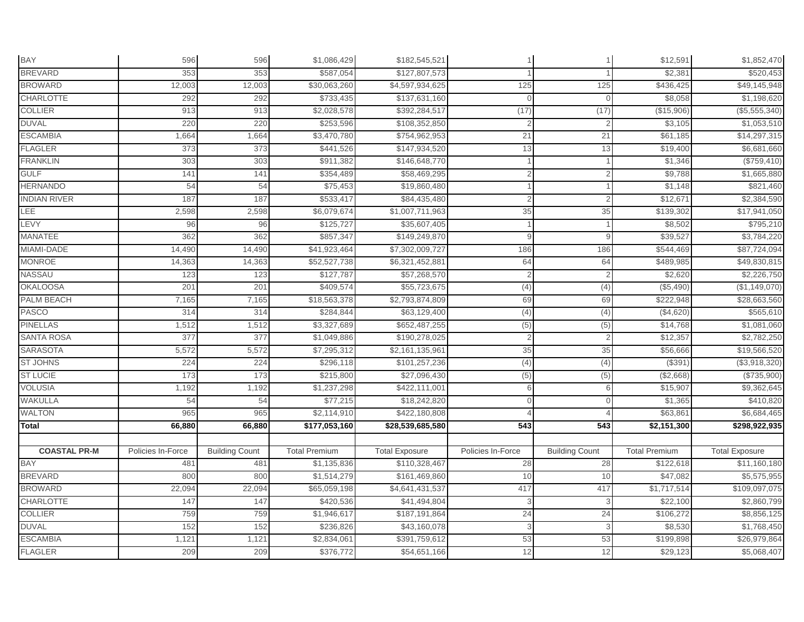| BAY                 | 596               | 596                   | \$1,086,429          | \$182,545,521         |                   |                       | \$12,591             | \$1,852,470           |
|---------------------|-------------------|-----------------------|----------------------|-----------------------|-------------------|-----------------------|----------------------|-----------------------|
| <b>BREVARD</b>      | 353               | 353                   | \$587,054            | \$127,807,573         |                   |                       | \$2,381              | \$520,453             |
| <b>BROWARD</b>      | 12,003            | 12,003                | \$30,063,260         | \$4,597,934,625       | 125               | 125                   | \$436,425            | \$49,145,948          |
| <b>CHARLOTTE</b>    | 292               | 292                   | \$733,435            | \$137,631,160         | $\Omega$          | $\mathbf{0}$          | \$8,058              | \$1,198,620           |
| <b>COLLIER</b>      | 913               | 913                   | \$2,028,578          | \$392,284,517         | (17)              | (17)                  | (\$15,906)           | (\$5,555,340)         |
| <b>DUVAL</b>        | 220               | 220                   | \$253,596            | \$108,352,850         |                   | 2                     | \$3,105              | \$1,053,510           |
| <b>ESCAMBIA</b>     | 1,664             | 1,664                 | \$3,470,780          | \$754,962,953         | 21                | 21                    | \$61,185             | \$14,297,315          |
| <b>FLAGLER</b>      | 373               | 373                   | \$441,526            | \$147,934,520         | 13                | 13                    | \$19,400             | \$6,681,660           |
| <b>FRANKLIN</b>     | 303               | 303                   | \$911,382            | \$146,648,770         |                   |                       | \$1,346              | (\$759,410)           |
| <b>GULF</b>         | 141               | 141                   | \$354,489            | \$58,469,295          |                   |                       | \$9,788              | \$1,665,880           |
| <b>HERNANDO</b>     | 54                | 54                    | \$75,453             | \$19,860,480          |                   |                       | \$1,148              | \$821,460             |
| <b>INDIAN RIVER</b> | 187               | 187                   | \$533,417            | \$84,435,480          |                   | $\overline{2}$        | \$12,671             | \$2,384,590           |
| LEE                 | 2,598             | 2,598                 | \$6,079,674          | \$1,007,711,963       | 35                | 35                    | \$139,302            | \$17,941,050          |
| <b>EVY</b>          | 96                | 96                    | \$125,727            | \$35,607,405          |                   |                       | \$8,502              | \$795,210             |
| <b>MANATEE</b>      | 362               | 362                   | \$857,347            | \$149,249,870         | 9                 | 9                     | \$39,527             | \$3,784,220           |
| MIAMI-DADE          | 14,490            | 14,490                | \$41,923,464         | \$7,302,009,727       | 186               | 186                   | \$544,469            | \$87,724,094          |
| <b>MONROE</b>       | 14,363            | 14,363                | \$52,527,738         | \$6,321,452,881       | 64                | 64                    | \$489,985            | \$49,830,815          |
| NASSAU              | 123               | 123                   | \$127,787            | \$57,268,570          |                   |                       | \$2,620              | \$2,226,750           |
| <b>OKALOOSA</b>     | 201               | 20 <sup>o</sup>       | \$409,574            | \$55,723,675          | (4)               | (4)                   | (\$5,490)            | (\$1,149,070)         |
| PALM BEACH          | 7,165             | 7,165                 | \$18,563,378         | \$2,793,874,809       | 69                | 69                    | \$222,948            | \$28,663,560          |
| <b>PASCO</b>        | 314               | 314                   | \$284,844            | \$63,129,400          | (4)               | (4)                   | (\$4,620)            | \$565,610             |
| <b>PINELLAS</b>     | 1,512             | 1,512                 | \$3,327,689          | \$652,487,255         | (5)               | (5)                   | \$14,768             | \$1,081,060           |
| <b>SANTA ROSA</b>   | 377               | 377                   | \$1,049,886          | \$190,278,025         |                   | 2                     | \$12,357             | \$2,782,250           |
| <b>SARASOTA</b>     | 5,572             | 5,572                 | \$7,295,312          | \$2,161,135,961       | 35                | 35                    | \$56,666             | \$19,566,520          |
| <b>ST JOHNS</b>     | 224               | 224                   | \$296,118            | \$101,257,236         | (4)               | (4)                   | (\$391               | (\$3,918,320)         |
| <b>ST LUCIE</b>     | 173               | 173                   | \$215,800            | \$27,096,430          | (5)               | (5)                   | (\$2,668)            | (\$735,900)           |
| <b>VOLUSIA</b>      | 1,192             | 1,192                 | \$1,237,298          | \$422,111,001         | 6                 | 6                     | \$15,907             | \$9,362,645           |
| WAKULLA             | 54                | 54                    | \$77,215             | \$18,242,820          | $\Omega$          | $\Omega$              | \$1,365              | \$410,820             |
| <b>WALTON</b>       | 965               | 965                   | \$2,114,910          | \$422,180,808         |                   |                       | \$63,861             | \$6,684,465           |
| Total               | 66,880            | 66,880                | \$177,053,160        | \$28,539,685,580      | 543               | 543                   | \$2,151,300          | \$298,922,935         |
|                     |                   |                       |                      |                       |                   |                       |                      |                       |
| <b>COASTAL PR-M</b> | Policies In-Force | <b>Building Count</b> | <b>Total Premium</b> | <b>Total Exposure</b> | Policies In-Force | <b>Building Count</b> | <b>Total Premium</b> | <b>Total Exposure</b> |
| BAY                 | 481               | 481                   | \$1,135,836          | \$110,328,467         | 28                | 28                    | \$122,618            | \$11,160,180          |
| <b>BREVARD</b>      | 800               | 800                   | \$1,514,279          | \$161,469,860         | 10                | 10                    | \$47,082             | \$5,575,955           |
| <b>BROWARD</b>      | 22,094            | 22,094                | \$65,059,198         | \$4,641,431,537       | 417               | 417                   | \$1,717,514          | \$109,097,075         |
| <b>CHARLOTTE</b>    | 147               | 147                   | \$420,536            | \$41,494,804          |                   | 3                     | \$22,100             | \$2,860,799           |
| <b>COLLIER</b>      | 759               | 759                   | \$1,946,617          | \$187,191,864         | 24                | 24                    | \$106,272            | \$8,856,125           |
| <b>DUVAL</b>        | 152               | 152                   | \$236,826            | \$43,160,078          | 3                 | 3                     | \$8,530              | \$1,768,450           |
| <b>ESCAMBIA</b>     | 1,121             | 1,121                 | \$2,834,061          | \$391,759,612         | 53                | 53                    | \$199,898            | \$26,979,864          |
| <b>FLAGLER</b>      | 209               | 209                   | \$376,772            | \$54,651,166          | 12                | 12                    | \$29,123             | \$5,068,407           |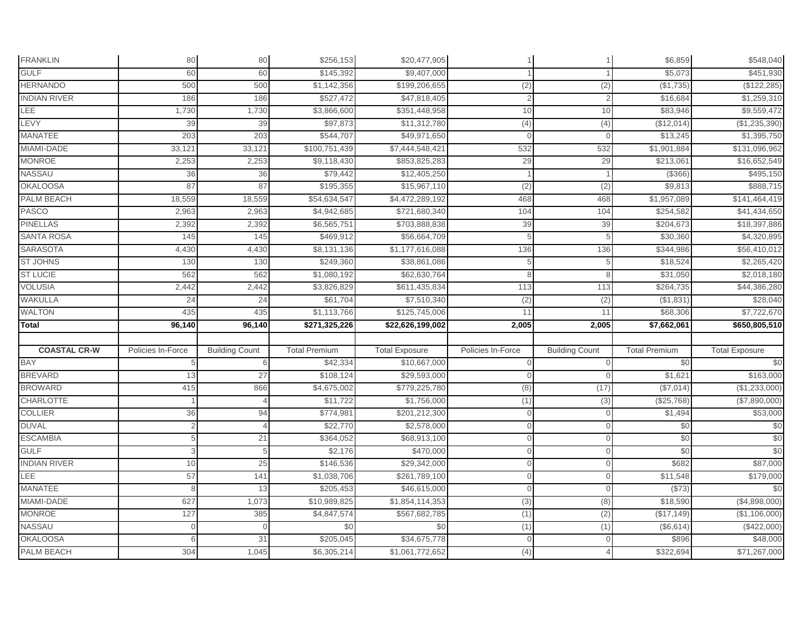| <b>FRANKLIN</b>                      | 80                | 80                    | \$256,153                | \$20,477,905                    |                   |                       | \$6,859                 | \$548,040                |
|--------------------------------------|-------------------|-----------------------|--------------------------|---------------------------------|-------------------|-----------------------|-------------------------|--------------------------|
| <b>GULF</b>                          | 60                | 60                    | \$145,392                | \$9,407,000                     |                   |                       | \$5,073                 | \$451,930                |
| <b>HERNANDO</b>                      | 500               | 500                   | \$1,142,356              | \$199,206,655                   | (2)               | (2)                   | (\$1,735)               | (\$122, 285)             |
| <b>INDIAN RIVER</b>                  | 186               | 186                   | \$527,472                | \$47,818,405                    |                   | $\overline{2}$        | \$16,684                | \$1,259,310              |
| LEE                                  | 1,730             | 1,730                 | \$3,866,600              | \$351,448,958                   | 10                | 10                    | \$83,946                | \$9,559,472              |
| LEVY                                 | 39                | 39                    | \$97,873                 | \$11,312,780                    | (4)               | (4)                   | (\$12,014)              | (\$1,235,390)            |
| MANATEE                              | 203               | 203                   | \$544,707                | \$49,971,650                    | $\cap$            | $\Omega$              | \$13,245                | \$1,395,750              |
| MIAMI-DADE                           | 33,121            | 33,12'                | \$100,751,439            | \$7,444,548,421                 | 532               | 532                   | \$1,901,884             | \$131,096,962            |
| <b>MONROE</b>                        | 2,253             | 2,253                 | \$9,118,430              | \$853,825,283                   | 29                | 29                    | \$213,061               | \$16,652,549             |
| NASSAU                               | 36                | 36                    | \$79,442                 | \$12,405,250                    |                   |                       | (\$366"                 | \$495,150                |
| <b>OKALOOSA</b>                      | 87                | 87                    | \$195,355                | \$15,967,110                    | (2)               | (2)                   | \$9,813                 | \$888,715                |
| <b>PALM BEACH</b>                    | 18,559            | 18,559                | \$54,634,547             | \$4,472,289,192                 | 468               | 468                   | \$1,957,089             | \$141,464,419            |
| <b>PASCO</b>                         | 2,963             | 2,963                 | \$4,942,685              | \$721,680,340                   | 104               | 104                   | \$254,582               | \$41,434,650             |
| <b>PINELLAS</b>                      | 2,392             | 2,392                 | \$6,565,751              | \$703,888,838                   | 39                | 39                    | \$204,673               | \$18,397,886             |
| <b>SANTA ROSA</b>                    | 145               | 145                   | \$469,912                | \$56,664,709                    |                   | 5                     | \$30,360                | \$4,320,895              |
| <b>SARASOTA</b>                      | 4,430             | 4,430                 | \$8,131,136              | \$1,177,616,088                 | 136               | 136                   | \$344,986               | \$56,410,012             |
| <b>ST JOHNS</b>                      | 130               | 130                   | \$249,360                | \$38,861,086                    |                   | 5                     | \$18,524                | \$2,265,420              |
| <b>ST LUCIE</b>                      | 562               | 562                   | \$1,080,192              | \$62,630,764                    |                   |                       | \$31,050                | \$2,018,180              |
| <b>VOLUSIA</b>                       | 2,442             | 2,442                 | \$3,826,829              | \$611,435,834                   | 113               | 113                   | \$264,735               | \$44,386,280             |
| <b>WAKULLA</b>                       | 24                | 24                    | \$61,704                 | \$7,510,340                     | $\overline{2}$    | (2)                   | (\$1,831                | \$28,040                 |
| <b>WALTON</b>                        | 435               | 435                   | \$1,113,766              | \$125,745,006                   | 11                | 11                    | \$68,306                | \$7,722,670              |
| Total                                | 96,140            | 96,140                | \$271,325,226            | \$22,626,199,002                | 2,005             | 2,005                 | $\overline{$7,662,061}$ | \$650,805,510            |
|                                      |                   |                       |                          |                                 |                   |                       |                         |                          |
| <b>COASTAL CR-W</b>                  | Policies In-Force | <b>Building Count</b> | <b>Total Premium</b>     | <b>Total Exposure</b>           | Policies In-Force | <b>Building Count</b> | <b>Total Premium</b>    | <b>Total Exposure</b>    |
| <b>BAY</b>                           |                   | 6                     | \$42,334                 | \$10,667,000                    |                   | $\Omega$              | \$0                     | \$0                      |
| <b>BREVARD</b>                       | 13                | 27                    | \$108,124                | \$29,593,000                    |                   |                       | \$1,621                 | \$163,000                |
| <b>BROWARD</b>                       | 415               | 866                   | \$4,675,002              | \$779,225,780                   | (8)               | (17)                  | (\$7,014)               | (\$1,233,000)            |
| <b>CHARLOTTE</b>                     |                   |                       | \$11,722                 | \$1,756,000                     | (1)               | (3)                   | (\$25,768)              | (\$7,890,000)            |
| <b>COLLIER</b>                       | 36                | 94                    | \$774,981                | \$201,212,300                   | $\Omega$          | $\Omega$              | \$1,494                 | \$53,000                 |
| <b>DUVAL</b>                         | $\overline{2}$    |                       | \$22,770                 | \$2,578,000                     | $\Omega$          | $\mathbf{0}$          | \$0                     | \$0                      |
| <b>ESCAMBIA</b>                      | 5                 | 21                    | \$364,052                | \$68,913,100                    | $\Omega$          | $\mathbf{0}$          | \$0                     | \$0                      |
| <b>GULF</b>                          | 3                 | 5                     | \$2,176                  | \$470,000                       |                   | $\Omega$              | \$0                     | \$0                      |
| <b>INDIAN RIVER</b>                  | 10                | 25                    | \$146,536                | \$29,342,000                    |                   | $\Omega$              | \$682                   | \$87,000                 |
| LEE                                  | 57                | 141                   | \$1,038,706              | \$261,789,100                   |                   | $\mathbf{0}$          | \$11,548                | \$179,000                |
| <b>MANATEE</b>                       | 8                 | 13                    | \$205,453                | \$46,615,000                    |                   | $\Omega$              | (\$73)                  | \$0                      |
| MIAMI-DADE                           |                   |                       |                          |                                 |                   |                       |                         |                          |
|                                      | 627               | 1,073                 | \$10,989,825             | \$1,854,114,353                 | (3)               | (8)                   | \$18,590                | (\$4,898,000)            |
| <b>MONROE</b>                        | 127               | 385                   | \$4,847,574              | \$567,682,785                   | (1)               | (2)                   | (\$17, 149)             | (\$1,106,000)            |
| <b>NASSAU</b>                        | $\Omega$          | $\Omega$              | \$0                      | \$0                             | (1)               | (1)                   | (\$6,614)               | (\$422,000)              |
| <b>OKALOOSA</b><br><b>PALM BEACH</b> |                   | 31<br>1,045           | \$205,045<br>\$6,305,214 | \$34,675,778<br>\$1,061,772,652 |                   |                       | \$896<br>\$322,694      | \$48,000<br>\$71,267,000 |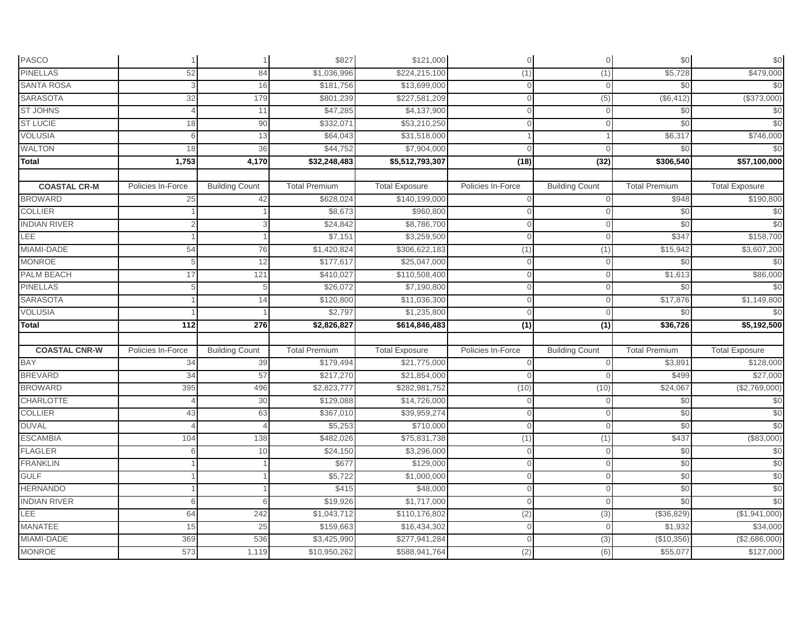| <b>PASCO</b>                |                   | $\overline{1}$        | \$827                       | \$121,000                      | $\Omega$          | $\mathbf 0$           | \$0                    | \$0                                    |
|-----------------------------|-------------------|-----------------------|-----------------------------|--------------------------------|-------------------|-----------------------|------------------------|----------------------------------------|
| <b>PINELLAS</b>             | 52                | 84                    | \$1,036,996                 | \$224,215,100                  | (1)               | (1)                   | \$5,728                | \$479,000                              |
| <b>SANTA ROSA</b>           | 3                 | 16                    | \$181,756                   | \$13,699,000                   | $\Omega$          | $\Omega$              | \$0                    | \$0                                    |
| <b>SARASOTA</b>             | 32                | 179                   | \$801,239                   | \$227,581,209                  | $\Omega$          | (5)                   | (\$6,412)              | (\$373,000)                            |
| <b>ST JOHNS</b>             |                   | 11                    | \$47,285                    | \$4,137,900                    |                   | $\Omega$              | \$0                    | \$0                                    |
| <b>ST LUCIE</b>             | 18                | 90                    | \$332,071                   | \$53,210,250                   |                   |                       | \$0                    | \$0                                    |
| <b>VOLUSIA</b>              | ĥ                 | 13                    | \$64,043                    | \$31,518,000                   |                   |                       | \$6,317                | \$746,000                              |
| <b>WALTON</b>               | 18                | 36                    | \$44,752                    | \$7,904,000                    | $\Omega$          | $\Omega$              | \$0                    | \$0                                    |
| <b>Total</b>                | 1,753             | 4,170                 | \$32,248,483                | \$5,512,793,307                | (18)              | (32)                  | \$306,540              | \$57,100,000                           |
|                             |                   |                       |                             |                                |                   |                       |                        |                                        |
| <b>COASTAL CR-M</b>         | Policies In-Force | <b>Building Count</b> | <b>Total Premium</b>        | <b>Total Exposure</b>          | Policies In-Force | <b>Building Count</b> | <b>Total Premium</b>   | <b>Total Exposure</b>                  |
| <b>BROWARD</b>              | 25                | 42                    | \$628,024                   | \$140,199,000                  | $\Omega$          | $\Omega$              | \$948                  | \$190,800                              |
| <b>COLLIER</b>              |                   |                       | \$8,673                     | \$960,800                      |                   | $\Omega$              | \$0                    | \$0                                    |
| <b>INDIAN RIVER</b>         |                   | 3                     | \$24,842                    | \$8,786,700                    | $\cap$            | $\Omega$              | \$0                    | \$0                                    |
| LEE                         |                   |                       | \$7,151                     | \$3,259,500                    | $\Omega$          | $\mathbf{0}$          | \$347                  | \$158,700                              |
| MIAMI-DADE                  | 54                | 76                    | \$1,420,824                 | \$306,622,183                  | (1)               | (1)                   | \$15,942               | \$3,607,200                            |
| <b>MONROE</b>               | 5                 | 12                    | \$177,617                   | \$25,047,000                   | $\Omega$          | $\Omega$              | \$0                    | \$0                                    |
| PALM BEACH                  | 17                | 121                   | \$410,027                   | \$110,508,400                  |                   | $\Omega$              | \$1,613                | \$86,000                               |
| <b>PINELLAS</b>             | 5                 | 5                     | \$26,072                    | \$7,190,800                    | $\Omega$          | $\Omega$              | \$0                    | \$0                                    |
| <b>SARASOTA</b>             |                   | 14                    | \$120,800                   | \$11,036,300                   |                   |                       | \$17,876               | \$1,149,800                            |
| <b>VOLUSIA</b>              |                   |                       | \$2,797                     | \$1,235,800                    |                   | $\Omega$              | \$0                    | \$0                                    |
| Total                       | 112               | 276                   | \$2,826,827                 | \$614,846,483                  | (1)               | $\overline{(1)}$      | \$36,726               | \$5,192,500                            |
|                             |                   |                       |                             |                                |                   |                       |                        |                                        |
| <b>COASTAL CNR-W</b>        |                   |                       |                             |                                |                   |                       |                        |                                        |
|                             | Policies In-Force | <b>Building Count</b> | <b>Total Premium</b>        | <b>Total Exposure</b>          | Policies In-Force | <b>Building Count</b> | <b>Total Premium</b>   | <b>Total Exposure</b>                  |
| <b>BAY</b>                  | 34                | 39                    | \$179,494                   | \$21,775,000                   | $\cap$            | $\Omega$              | \$3,891                | \$128,000                              |
| <b>BREVARD</b>              | 34                | 57                    | \$217,270                   | \$21,854,000                   |                   |                       | \$499                  | \$27,000                               |
| <b>BROWARD</b>              | 395               | 496                   | \$2,823,777                 | \$282,981,752                  | (10)              | (10)                  | \$24,067               | (\$2,769,000)                          |
| <b>CHARLOTTE</b>            |                   | 30                    | \$129,088                   | \$14,726,000                   | $\cap$            | $\Omega$              | \$0                    | \$0                                    |
| <b>COLLIER</b>              | 43                | 63                    | \$367,010                   | \$39,959,274                   | $\cap$            | $\Omega$              | \$0                    | \$0                                    |
| <b>DUVAL</b>                |                   | $\Delta$              | \$5,253                     | \$710,000                      | $\mathbf{0}$      | $\mathbf{0}$          | \$0                    |                                        |
| <b>ESCAMBIA</b>             | 104               | 138                   | \$482,026                   | \$75,831,738                   | (1)               | (1)                   | \$437                  | \$0<br>(\$83,000)                      |
| <b>FLAGLER</b>              |                   | 10                    | \$24,150                    | \$3,296,000                    | $\Omega$          | $\Omega$              | \$0                    | \$0                                    |
| <b>FRANKLIN</b>             |                   |                       | \$677                       | \$129,000                      |                   | $\Omega$              | \$0                    | \$0                                    |
| <b>GULF</b>                 |                   |                       | \$5,722                     | \$1,000,000                    |                   | $\Omega$              | \$0                    |                                        |
| <b>HERNANDO</b>             |                   |                       | \$415                       | \$48,000                       |                   | $\Omega$              | \$0                    |                                        |
| <b>INDIAN RIVER</b>         | 6                 | 6                     | \$19,926                    | \$1,717,000                    | $\cap$            | $\Omega$              | \$0                    |                                        |
| LEE                         | 64                | 242                   | \$1,043,712                 | \$110,176,802                  | (2)               | (3)                   | (\$36,829)             | \$0<br>\$0<br>\$0<br>(\$1,941,000)     |
| <b>MANATEE</b>              | 15                | 25                    | \$159,663                   | \$16,434,302                   | $\Omega$          | $\mathbf{0}$          | \$1,932                |                                        |
| MIAMI-DADE<br><b>MONROE</b> | 369               | 536                   | \$3,425,990<br>\$10,950,262 | \$277,941,284<br>\$588,941,764 |                   | (3)                   | (\$10,356)<br>\$55,077 | \$34,000<br>(\$2,686,000)<br>\$127,000 |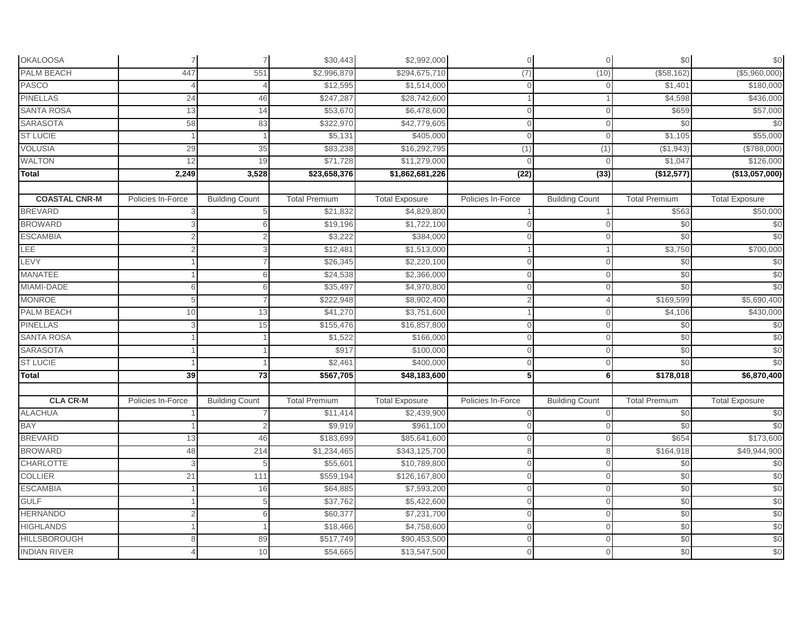| <b>OKALOOSA</b>      | $\overline{7}$    | $\overline{7}$        | \$30,443             | \$2,992,000              | $\Omega$          | $\mathbf 0$           | \$0                  | $$0$                  |
|----------------------|-------------------|-----------------------|----------------------|--------------------------|-------------------|-----------------------|----------------------|-----------------------|
| <b>PALM BEACH</b>    | 447               | 551                   | \$2,996,879          | \$294,675,710            | (7)               | (10)                  | (\$58,162)           | (\$5,960,000)         |
| <b>PASCO</b>         |                   |                       | \$12,595             | \$1,514,000              | $\cap$            | $\Omega$              | \$1,401              | \$180,000             |
| <b>PINELLAS</b>      | 24                | 46                    | \$247,287            | \$28,742,600             |                   |                       | \$4,598              | \$436,000             |
| <b>SANTA ROSA</b>    | 13                | 14                    | \$53,670             | \$6,478,600              |                   | $\Omega$              | \$659                | \$57,000              |
| <b>SARASOTA</b>      | 58                | 83                    | \$322,970            | \$42,779,605             | $\cap$            | $\Omega$              | \$0                  | \$0                   |
| <b>ST LUCIE</b>      |                   |                       | \$5,131              | \$405,000                |                   | $\Omega$              | \$1,105              | \$55,000              |
| <b>VOLUSIA</b>       | 29                | 35                    | \$83,238             | \$16,292,795             | (1)               | (1)                   | (\$1,943)            | (\$788,000)           |
| <b>WALTON</b>        | 12                | 19                    | \$71,728             | \$11,279,000             | $\Omega$          | $\Omega$              | \$1,047              | \$126,000             |
| <b>Total</b>         | 2,249             | 3,528                 | \$23,658,376         | \$1,862,681,226          | (22)              | (33)                  | (\$12,577)           | (\$13,057,000)        |
| <b>COASTAL CNR-M</b> | Policies In-Force | <b>Building Count</b> | <b>Total Premium</b> |                          | Policies In-Force | <b>Building Count</b> | <b>Total Premium</b> | <b>Total Exposure</b> |
| <b>BREVARD</b>       |                   | 5                     | \$21,832             | <b>Total Exposure</b>    |                   |                       | \$563                |                       |
| <b>BROWARD</b>       |                   |                       | \$19,196             | \$4,829,800              | $\cap$            | $\Omega$              |                      | \$50,000              |
| <b>ESCAMBIA</b>      |                   | 6                     | \$3,222              | \$1,722,100<br>\$384,000 | $\Omega$          | $\Omega$              | \$0<br>\$0           | \$0<br>\$0            |
| LEE                  |                   | 2                     | \$12,481             | \$1,513,000              |                   |                       | \$3,750              |                       |
| LEVY                 |                   | 3                     | \$26,345             | \$2,220,100              | $\cap$            | $\Omega$              | \$0                  | \$700,000<br>\$0      |
| <b>MANATEE</b>       |                   | հ                     | \$24,538             | \$2,366,000              |                   | $\Omega$              | \$0                  | \$0                   |
| MIAMI-DADE           | 6                 | 6                     | \$35,497             | \$4,970,800              | $\cap$            | $\Omega$              | \$0                  | \$0                   |
| <b>MONROE</b>        | 5                 |                       | \$222,948            | \$8,902,400              |                   |                       | \$169,599            | \$5,690,400           |
| <b>PALM BEACH</b>    | 10                | 13                    | \$41,270             | \$3,751,600              |                   |                       | \$4,106              | \$430,000             |
| <b>PINELLAS</b>      |                   | 15                    | \$155,476            | \$16,857,800             | $\cap$            | $\Omega$              | \$0                  | $\frac{6}{3}$         |
| <b>SANTA ROSA</b>    |                   |                       | \$1,522              | \$166,000                | $\Omega$          | $\mathbf{0}$          | \$0                  | \$0                   |
| <b>SARASOTA</b>      |                   |                       | \$917                | \$100,000                |                   |                       | \$0                  | \$0                   |
| <b>ST LUCIE</b>      |                   |                       | \$2,46               | \$400,000                | $\cap$            | $\Omega$              | \$0                  | \$0                   |
| Total                | 39                | 73                    | \$567,705            | \$48,183,600             | 5                 | 6                     | \$178,018            | \$6,870,400           |
|                      |                   |                       |                      |                          |                   |                       |                      |                       |
| <b>CLA CR-M</b>      | Policies In-Force | <b>Building Count</b> | <b>Total Premium</b> | <b>Total Exposure</b>    | Policies In-Force | <b>Building Count</b> | <b>Total Premium</b> | <b>Total Exposure</b> |
| <b>ALACHUA</b>       |                   |                       | \$11,414             | \$2,439,900              |                   | $\Omega$              | \$0                  | $\frac{6}{3}$         |
| BAY                  |                   |                       | \$9,919              | \$961,100                | $\Omega$          | $\mathbf{0}$          | \$0                  | \$0                   |
| <b>BREVARD</b>       | 13                | 46                    | \$183,699            | \$85,641,600             |                   | $\Omega$              | \$654                | \$173,600             |
| <b>BROWARD</b>       | 48                | 214                   | \$1,234,465          | \$343,125,700            | 8                 |                       | \$164,918            | \$49,944,900          |
| <b>CHARLOTTE</b>     |                   | 5                     | \$55,601             | \$10,789,800             |                   | $\Omega$              | \$0                  | $\frac{6}{3}$         |
| <b>COLLIER</b>       | 21                | 111                   | \$559,194            | \$126,167,800            |                   | $\Omega$              | \$0                  | \$0                   |
| <b>ESCAMBIA</b>      |                   | 16                    | \$64,885             | \$7,593,200              |                   | $\Omega$              | \$0                  | \$0                   |
| <b>GULF</b>          |                   | 5                     | \$37,762             | \$5,422,600              | $\cap$            | $\Omega$              | \$0                  | \$0                   |
| <b>HERNANDO</b>      |                   | 6                     | \$60,377             | \$7,231,700              | $\Omega$          | $\Omega$              | \$0                  | \$0                   |
| <b>HIGHLANDS</b>     |                   |                       | \$18,466             | \$4,758,600              | $\Omega$          | $\mathbf{0}$          | \$0                  | \$0                   |
| <b>HILLSBOROUGH</b>  |                   | 89                    | \$517,749            | \$90,453,500             |                   | $\Omega$              | \$0                  | \$0                   |
| <b>INDIAN RIVER</b>  |                   | 10                    | \$54,665             | \$13,547,500             |                   | $\mathbf 0$           | \$0                  | \$0                   |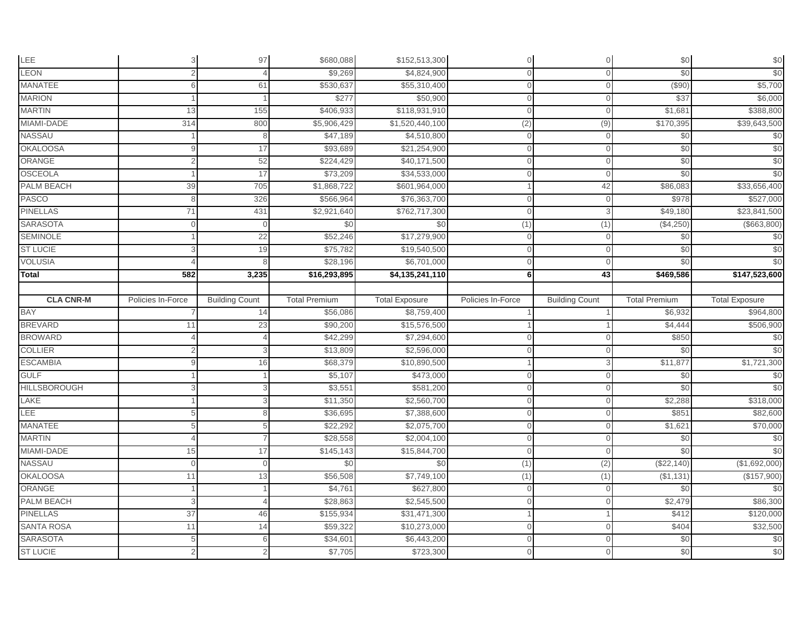| LEE                 | $\overline{3}$    | 97                    | \$680,088            | \$152,513,300            | $\Omega$          | $\mathbf 0$           | \$0                  | $$0$                  |
|---------------------|-------------------|-----------------------|----------------------|--------------------------|-------------------|-----------------------|----------------------|-----------------------|
| LEON                | $\overline{2}$    |                       | \$9,269              | \$4,824,900              |                   |                       | \$0                  | \$0                   |
| <b>MANATEE</b>      | 6                 | 61                    | \$530,637            | \$55,310,400             |                   | $\Omega$              | (\$90)               | \$5,700               |
| <b>MARION</b>       |                   |                       | \$277                | \$50,900                 |                   | $\mathbf{0}$          | \$37                 | \$6,000               |
| <b>MARTIN</b>       | 13                | 155                   | \$406,933            | \$118,931,910            |                   | $\Omega$              | \$1,681              | \$388,800             |
| MIAMI-DADE          | 314               | 800                   | \$5,906,429          | \$1,520,440,100          | (2)               | (9)                   | \$170,395            | \$39,643,500          |
| NASSAU              |                   | ጸ                     | \$47,189             | \$4,510,800              |                   | $\Omega$              | \$0                  | $\frac{6}{3}$         |
| <b>OKALOOSA</b>     |                   | 17                    | \$93,689             | \$21,254,900             | $\Omega$          | $\mathbf{0}$          | \$0                  | \$0                   |
| ORANGE              | 2                 | 52                    | \$224,429            | \$40,171,500             | $\Omega$          | $\mathbf{0}$          | \$0                  | \$0                   |
| <b>OSCEOLA</b>      |                   | 17                    | \$73,209             | \$34,533,000             |                   | $\Omega$              | \$0                  | \$0                   |
| PALM BEACH          | 39                | 705                   | \$1,868,722          | \$601,964,000            |                   | 42                    | \$86,083             | \$33,656,400          |
| <b>PASCO</b>        | 8                 | 326                   | \$566,964            | \$76,363,700             | ∩                 | $\mathbf{0}$          | \$978                | \$527,000             |
| <b>PINELLAS</b>     | 71                | 431                   | \$2,921,640          | \$762,717,300            |                   | 3                     | \$49,180             | \$23,841,500          |
| SARASOTA            | $\Omega$          |                       | \$0                  | \$0                      | (1)               | (1)                   | (\$4,250)            | (\$663,800)           |
| <b>SEMINOLE</b>     |                   | 22                    | \$52,246             | \$17,279,900             | $\Omega$          | $\mathbf{0}$          | \$0                  | \$0                   |
| <b>ST LUCIE</b>     | 3                 | 19                    | \$75,782             | \$19,540,500             | $\Omega$          | $\mathbf 0$           | \$0                  | \$0                   |
| <b>VOLUSIA</b>      |                   |                       | \$28,196             | \$6,701,000              |                   | $\Omega$              | \$0                  | \$0                   |
| Total               | 582               | 3,235                 | \$16,293,895         | \$4,135,241,110          | 6                 | 43                    | \$469,586            | \$147,523,600         |
|                     |                   |                       |                      |                          |                   |                       |                      |                       |
| <b>CLA CNR-M</b>    | Policies In-Force | <b>Building Count</b> | <b>Total Premium</b> | <b>Total Exposure</b>    | Policies In-Force | <b>Building Count</b> | <b>Total Premium</b> | <b>Total Exposure</b> |
| BAY                 |                   | 14                    | \$56,086             | \$8,759,400              |                   |                       | \$6,932              | \$964,800             |
| <b>BREVARD</b>      | 11                | 23                    | \$90,200             | \$15,576,500             |                   |                       | \$4,444              | \$506,900             |
| <b>BROWARD</b>      |                   |                       | \$42,299             | \$7,294,600              |                   | $\Omega$              | \$850                | \$0                   |
| <b>COLLIER</b>      |                   | 3                     | \$13,809             | \$2,596,000              |                   | $\Omega$              | \$0                  | \$0                   |
| <b>ESCAMBIA</b>     |                   | 16                    | \$68,379             | \$10,890,500             |                   | 3                     | \$11,877             | \$1,721,300           |
| <b>GULF</b>         |                   |                       | \$5,107              | \$473,000                |                   | $\Omega$              | \$0                  | \$0                   |
| <b>HILLSBOROUGH</b> | 3                 | 3                     | \$3,551              | \$581,200                |                   | $\mathbf{0}$          | \$0                  | \$0                   |
| LAKE                |                   | 3                     | \$11,350             | \$2,560,700              |                   | $\Omega$              | \$2,288              | \$318,000             |
| LEE                 | 5                 | 8                     | \$36,695             | \$7,388,600              | $\Omega$          | $\Omega$              | \$851                | \$82,600              |
| <b>MANATEE</b>      | 5                 | 5                     | \$22,292             | \$2,075,700              | $\Omega$          | $\mathbf 0$           | \$1,621              | \$70,000              |
| <b>MARTIN</b>       |                   |                       | \$28,558             | \$2,004,100              |                   | $\mathbf{0}$          | \$0                  | \$0                   |
| MIAMI-DADE          | 15                | 17                    | \$145,143            | \$15,844,700             |                   | $\Omega$              | \$0                  | \$0                   |
| NASSAU              | $\Omega$          |                       | \$0                  | \$0                      | (1)               | (2)                   | (\$22,140)           | (\$1,692,000)         |
| <b>OKALOOSA</b>     | 11                | 13                    | \$56,508             | \$7,749,100              | (1)               | (1)                   | (\$1,131]            | (\$157,900)           |
| ORANGE              |                   |                       | \$4,761              | \$627,800                |                   | $\Omega$              | \$0                  | $\frac{6}{3}$         |
| <b>PALM BEACH</b>   | 3                 |                       | \$28,863             | \$2,545,500              |                   | $\Omega$              | \$2,479              | \$86,300              |
| <b>PINELLAS</b>     | 37                | 46                    | \$155,934            | \$31,471,300             |                   |                       | \$412                | \$120,000             |
| <b>SANTA ROSA</b>   | 11                | 14                    | \$59,322             | \$10,273,000             | $\cap$            | $\mathbf 0$           | \$404                | \$32,500              |
| <b>SARASOTA</b>     |                   |                       |                      |                          |                   |                       |                      |                       |
| <b>ST LUCIE</b>     | 5                 |                       | \$34,601<br>\$7,705  | \$6,443,200<br>\$723,300 |                   | $\Omega$              | \$0<br>\$0           | \$0<br>\$0            |